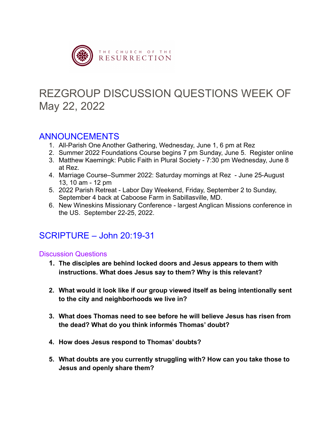

# REZGROUP DISCUSSION QUESTIONS WEEK OF May 22, 2022

## ANNOUNCEMENTS

- 1. All-Parish One Another Gathering, Wednesday, June 1, 6 pm at Rez
- 2. Summer 2022 Foundations Course begins 7 pm Sunday, June 5. Register online
- 3. Matthew Kaemingk: Public Faith in Plural Society 7:30 pm Wednesday, June 8 at Rez.
- 4. Marriage Course–Summer 2022: Saturday mornings at Rez June 25-August 13, 10 am - 12 pm
- 5. 2022 Parish Retreat Labor Day Weekend, Friday, September 2 to Sunday, September 4 back at Caboose Farm in Sabillasville, MD.
- 6. New Wineskins Missionary Conference largest Anglican Missions conference in the US. September 22-25, 2022.

## SCRIPTURE – John 20:19-31

#### Discussion Questions

- **1. The disciples are behind locked doors and Jesus appears to them with instructions. What does Jesus say to them? Why is this relevant?**
- **2. What would it look like if our group viewed itself as being intentionally sent to the city and neighborhoods we live in?**
- **3. What does Thomas need to see before he will believe Jesus has risen from the dead? What do you think informés Thomas' doubt?**
- **4. How does Jesus respond to Thomas' doubts?**
- **5. What doubts are you currently struggling with? How can you take those to Jesus and openly share them?**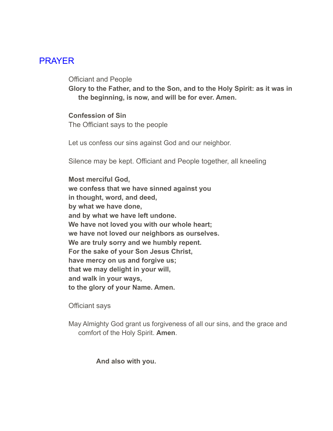## PRAYER

Officiant and People

**Glory to the Father, and to the Son, and to the Holy Spirit: as it was in the beginning, is now, and will be for ever. Amen.**

**Confession of Sin** The Officiant says to the people

Let us confess our sins against God and our neighbor.

Silence may be kept. Officiant and People together, all kneeling

**Most merciful God, we confess that we have sinned against you in thought, word, and deed, by what we have done, and by what we have left undone. We have not loved you with our whole heart; we have not loved our neighbors as ourselves. We are truly sorry and we humbly repent. For the sake of your Son Jesus Christ, have mercy on us and forgive us; that we may delight in your will, and walk in your ways, to the glory of your Name. Amen.**

Officiant says

May Almighty God grant us forgiveness of all our sins, and the grace and comfort of the Holy Spirit. **Amen**.

**And also with you.**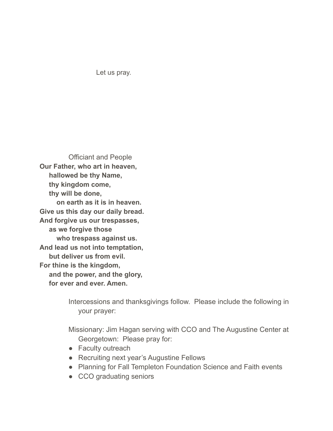Let us pray.

Officiant and People **Our Father, who art in heaven, hallowed be thy Name, thy kingdom come, thy will be done, on earth as it is in heaven. Give us this day our daily bread. And forgive us our trespasses, as we forgive those who trespass against us. And lead us not into temptation, but deliver us from evil. For thine is the kingdom, and the power, and the glory, for ever and ever. Amen.**

> Intercessions and thanksgivings follow. Please include the following in your prayer:

> Missionary: Jim Hagan serving with CCO and The Augustine Center at Georgetown: Please pray for:

- Faculty outreach
- Recruiting next year's Augustine Fellows
- Planning for Fall Templeton Foundation Science and Faith events
- CCO graduating seniors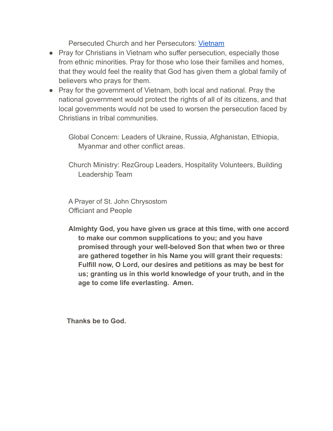Persecuted Church and her Persecutors: [Vietnam](https://www.opendoorsusa.org/christian-persecution/world-watch-list/vietnam/)

- Pray for Christians in Vietnam who suffer persecution, especially those from ethnic minorities. Pray for those who lose their families and homes, that they would feel the reality that God has given them a global family of believers who prays for them.
- Pray for the government of Vietnam, both local and national. Pray the national government would protect the rights of all of its citizens, and that local governments would not be used to worsen the persecution faced by Christians in tribal communities.

Global Concern: Leaders of Ukraine, Russia, Afghanistan, Ethiopia, Myanmar and other conflict areas.

Church Ministry: RezGroup Leaders, Hospitality Volunteers, Building Leadership Team

A Prayer of St. John Chrysostom Officiant and People

**Almighty God, you have given us grace at this time, with one accord to make our common supplications to you; and you have promised through your well-beloved Son that when two or three are gathered together in his Name you will grant their requests: Fulfill now, O Lord, our desires and petitions as may be best for us; granting us in this world knowledge of your truth, and in the age to come life everlasting. Amen.**

**Thanks be to God.**